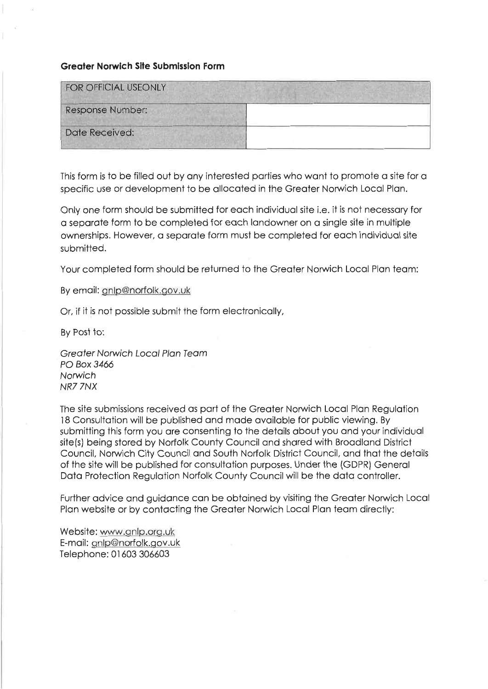#### **Greater Norwich Site Submission Form**

| <b>FOR OFFICIAL USEONLY</b> |  |
|-----------------------------|--|
| Response Number:            |  |
| Date Received:              |  |

This form is to be filled out by any interested parties who want to promote a site for a specific use or development to be allocated in the Greater Norwich Local Plan.

Only one form should be submitted for each individual site i.e. it is not necessary for a separate form to be completed for each landowner on a single site in multiple ownerships. However, a separate form must be completed for each individual site submitted.

Your completed form should be returned to the Greater Norwich Local Plan team:

By email: gnlp@norfolk.gov.uk

Or, if it is not possible submit the form electronically,

By Post to:

Greater Norwich Local Plan Team **PO Box 3466** Norwich NR7 7NX

The site submissions received as part of the Greater Norwich Local Plan Regulation 18 Consultation will be published and made available for public viewing. By submitting this form you are consenting to the details about you and your individual site(s) being stored by Norfolk County Council and shared with Broadland District Council, Norwich City Council and South Norfolk District Council, and that the details of the site will be published for consultation purposes. Under the (GDPR) General Data Protection Regulation Norfolk County Council will be the data controller.

Further advice and guidance can be obtained by visiting the Greater Norwich Local Plan website or by contacting the Greater Norwich Local Plan team directly:

Website: www.gnlp.org.uk E-mail: gnlp@norfolk.gov.uk Telephone: 01603 306603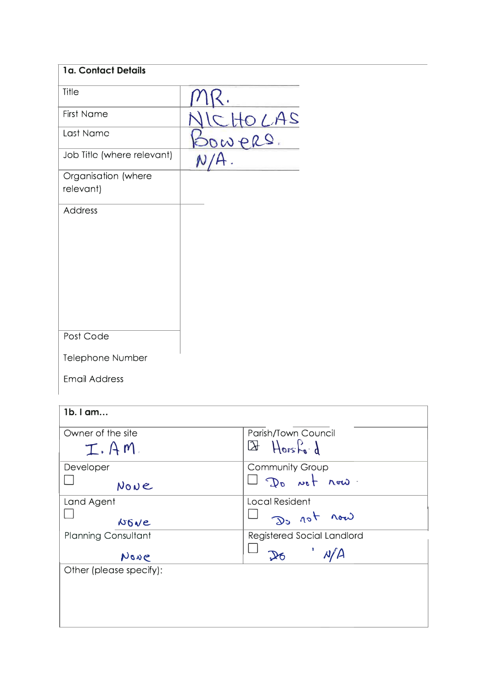| 1a. Contact Details              |                                          |
|----------------------------------|------------------------------------------|
| Title                            |                                          |
| <b>First Name</b>                |                                          |
| Last Name                        | ICHOLAS                                  |
| Job Title (where relevant)       |                                          |
| Organisation (where<br>relevant) |                                          |
| <b>Address</b>                   |                                          |
| Post Code                        |                                          |
| Telephone Number                 |                                          |
| <b>Email Address</b>             |                                          |
| 1b. I am                         |                                          |
| Owner of the site<br>I.AM.       | Parish/Town Council<br>$B$ Horsford      |
| Developer<br>None                | Community Group<br>Do not now.           |
| Land Agent<br>NOVE               | <b>Local Resident</b><br>Do not now      |
| Planning Consultant              | <b>Registered Social Landlord</b><br>N/A |
| Nowe<br>Other (please specify):  | $\mathfrak{D}6$                          |
|                                  |                                          |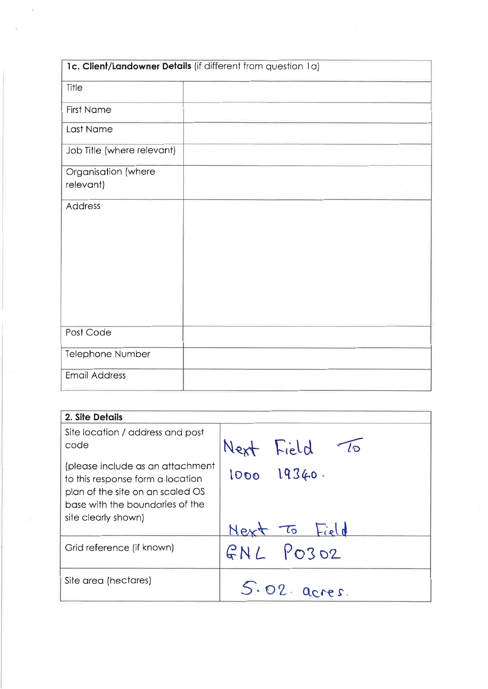| 1c. Client/Landowner Details (if different from question 1a) |  |  |  |
|--------------------------------------------------------------|--|--|--|
| Title                                                        |  |  |  |
| <b>First Name</b>                                            |  |  |  |
| Last Name                                                    |  |  |  |
| Job Title (where relevant)                                   |  |  |  |
| Organisation (where<br>relevant)                             |  |  |  |
| Address                                                      |  |  |  |
|                                                              |  |  |  |
|                                                              |  |  |  |
|                                                              |  |  |  |
|                                                              |  |  |  |
|                                                              |  |  |  |
| Post Code                                                    |  |  |  |
| Telephone Number                                             |  |  |  |
| <b>Email Address</b>                                         |  |  |  |

Q,

| 2. Site Details                                                                                                                                                    |                                 |
|--------------------------------------------------------------------------------------------------------------------------------------------------------------------|---------------------------------|
| Site location / address and post<br>code                                                                                                                           | Next Field<br>$l_{\mathcal{D}}$ |
| (please include as an attachment<br>to this response form a location<br>plan of the site on an scaled OS<br>base with the boundaries of the<br>site clearly shown) | 1000 19340.<br>Next To Field    |
| Grid reference (if known)                                                                                                                                          | $GNL$ $POSO2$                   |
| Site area (hectares)                                                                                                                                               | $5.02.$ acres.                  |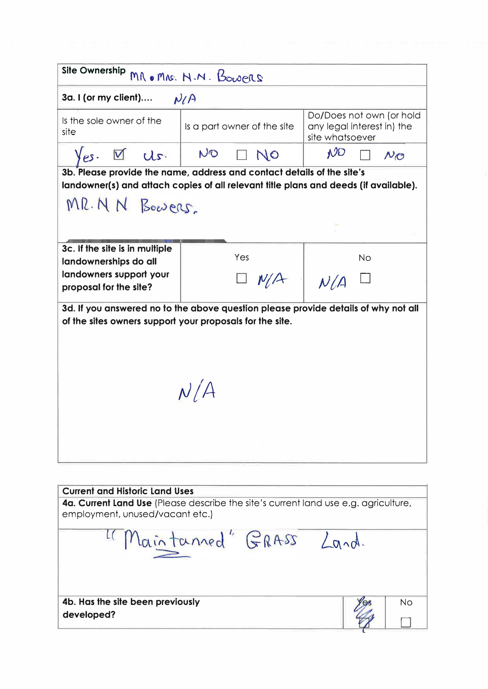| <b>Site Ownership</b><br>MR . MRS. H.N. Bowers                                                                                                                           |                                                                                                                                                                |                                                                           |  |  |
|--------------------------------------------------------------------------------------------------------------------------------------------------------------------------|----------------------------------------------------------------------------------------------------------------------------------------------------------------|---------------------------------------------------------------------------|--|--|
| 3a. I (or my client)<br>N/A                                                                                                                                              |                                                                                                                                                                |                                                                           |  |  |
| Is the sole owner of the<br>site                                                                                                                                         | Is a part owner of the site                                                                                                                                    | Do/Does not own (or hold<br>any legal interest in) the<br>site whatsoever |  |  |
| V Us.<br>$V_{PS}$ .                                                                                                                                                      | NO<br>$\Box$ No                                                                                                                                                | N<br>$N_{\bigodot}$                                                       |  |  |
|                                                                                                                                                                          | 3b. Please provide the name, address and contact details of the site's<br>landowner(s) and attach copies of all relevant title plans and deeds (if available). |                                                                           |  |  |
| MR. N N BOWERS.                                                                                                                                                          |                                                                                                                                                                |                                                                           |  |  |
|                                                                                                                                                                          |                                                                                                                                                                |                                                                           |  |  |
| 3c. If the site is in multiple<br>landownerships do all<br>landowners support your                                                                                       | Yes                                                                                                                                                            | No<br>$\big $ $N/A$                                                       |  |  |
| proposal for the site?<br>3d. If you answered no to the above question please provide details of why not all<br>of the sites owners support your proposals for the site. |                                                                                                                                                                |                                                                           |  |  |
|                                                                                                                                                                          |                                                                                                                                                                |                                                                           |  |  |
| N/A                                                                                                                                                                      |                                                                                                                                                                |                                                                           |  |  |
|                                                                                                                                                                          |                                                                                                                                                                |                                                                           |  |  |
|                                                                                                                                                                          |                                                                                                                                                                |                                                                           |  |  |
|                                                                                                                                                                          |                                                                                                                                                                |                                                                           |  |  |
| <b>Current and Historic Land Uses</b>                                                                                                                                    |                                                                                                                                                                |                                                                           |  |  |

**4a. Current Land Use** (Please describe the site's current land use e.g. agriculture, employment, unused/vacant etc.) 11 Maintanned" GRASS Land. **4b. Has the site been previously developed?**  No □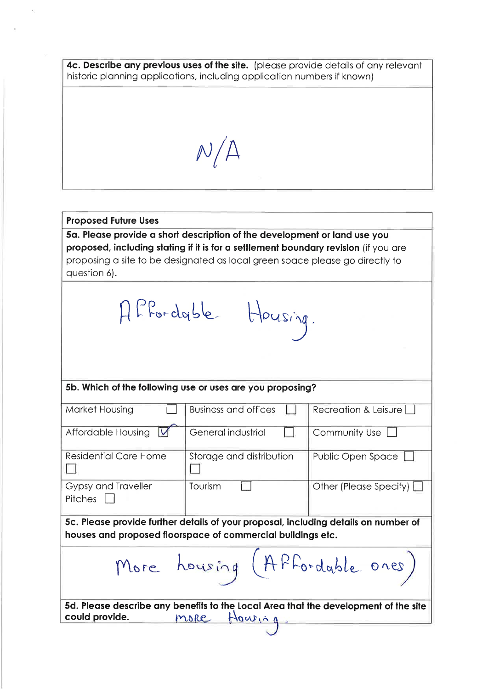4c. Describe any previous uses of the site. (please provide details of any relevant historic planning applications, including application numbers if known)

 $N/A$ 

### **Proposed Future Uses**

5a. Please provide a short description of the development or land use you proposed, including stating if it is for a settlement boundary revision (if you are proposing a site to be designated as local green space please go directly to

| question 6).                                                                                                                                       |                                                           |                          |  |
|----------------------------------------------------------------------------------------------------------------------------------------------------|-----------------------------------------------------------|--------------------------|--|
| Affordable Housing.                                                                                                                                |                                                           |                          |  |
|                                                                                                                                                    | 5b. Which of the following use or uses are you proposing? |                          |  |
| Market Housing                                                                                                                                     | <b>Business and offices</b>                               | Recreation & Leisure     |  |
| Affordable Housing<br>IV                                                                                                                           | General industrial                                        | Community Use [          |  |
| <b>Residential Care Home</b>                                                                                                                       | Storage and distribution                                  | Public Open Space        |  |
| Gypsy and Traveller<br><b>Pitches</b>                                                                                                              | Tourism                                                   | Other (Please Specify) [ |  |
| 5c. Please provide further details of your proposal, including details on number of<br>houses and proposed floorspace of commercial buildings etc. |                                                           |                          |  |
| More housing (Affordable ones)                                                                                                                     |                                                           |                          |  |
| 5d. Please describe any benefits to the Local Area that the development of the site<br>could provide.<br>more<br>Howing                            |                                                           |                          |  |
|                                                                                                                                                    |                                                           |                          |  |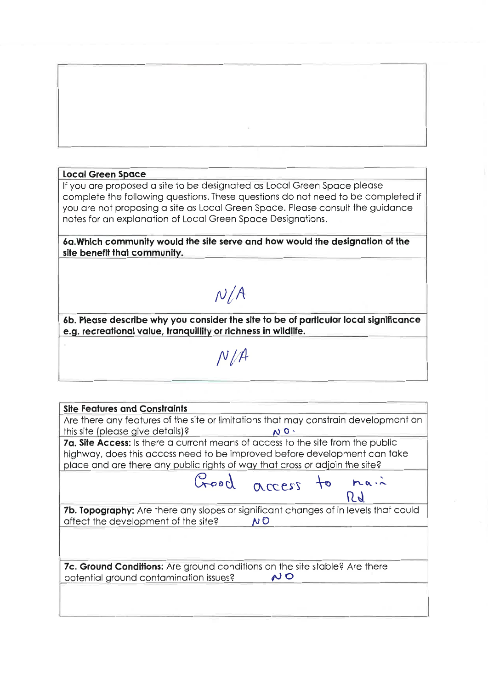### **Local Green Space**

If you are proposed a site to be designated as Local Green Space please complete the following questions. These questions do not need to be completed if you are not proposing a site as Local Green Space. Please consult the guidance notes for an explanation of Local Green Space Designations.

6a. Which community would the site serve and how would the designation of the site benefit that community.

 $N/A$ 

6b. Please describe why you consider the site to be of particular local significance e.g. recreational value, tranquillity or richness in wildlife.

 $N/A$ 

| <b>Site Features and Constraints</b>                                                       |
|--------------------------------------------------------------------------------------------|
| Are there any features of the site or limitations that may constrain development on        |
| this site (please give details)?<br>$\sqrt{0}$                                             |
| 7a. Site Access: Is there a current means of access to the site from the public            |
| highway, does this access need to be improved before development can take                  |
| place and are there any public rights of way that cross or adjoin the site?                |
|                                                                                            |
| Good access to main                                                                        |
|                                                                                            |
| <b>7b. Topography:</b> Are there any slopes or significant changes of in levels that could |
| affect the development of the site?<br>NO.                                                 |
|                                                                                            |
|                                                                                            |
|                                                                                            |
| 7c. Ground Conditions: Are ground conditions on the site stable? Are there                 |
| N O<br>potential ground contamination issues?                                              |
|                                                                                            |
|                                                                                            |
|                                                                                            |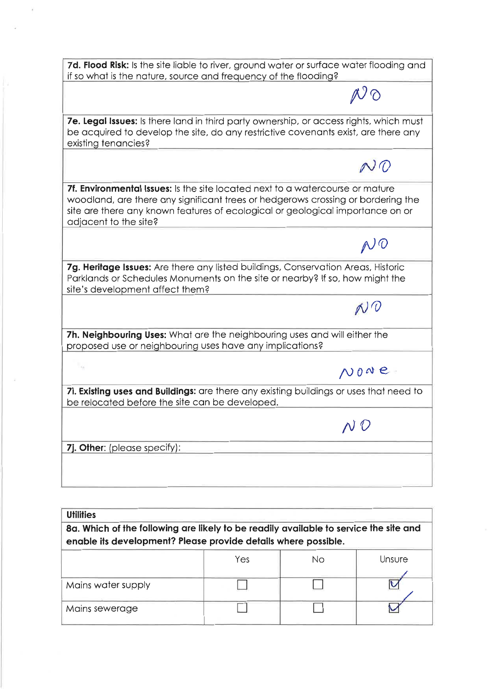| 7d. Flood Risk: Is the site liable to river, ground water or surface water flooding and<br>if so what is the nature, source and frequency of the flooding?                                                                                                                   |
|------------------------------------------------------------------------------------------------------------------------------------------------------------------------------------------------------------------------------------------------------------------------------|
| んん                                                                                                                                                                                                                                                                           |
| <b>7e. Legal Issues:</b> Is there land in third party ownership, or access rights, which must<br>be acquired to develop the site, do any restrictive covenants exist, are there any<br>existing tenancies?                                                                   |
|                                                                                                                                                                                                                                                                              |
| 7f. Environmental Issues: Is the site located next to a watercourse or mature<br>woodland, are there any significant trees or hedgerows crossing or bordering the<br>site are there any known features of ecological or geological importance on or<br>adjacent to the site? |
|                                                                                                                                                                                                                                                                              |
| 7g. Heritage Issues: Are there any listed buildings, Conservation Areas, Historic<br>Parklands or Schedules Monuments on the site or nearby? If so, how might the<br>site's development affect them?                                                                         |
|                                                                                                                                                                                                                                                                              |
| 7h. Neighbouring Uses: What are the neighbouring uses and will either the<br>proposed use or neighbouring uses have any implications?                                                                                                                                        |
| NONe                                                                                                                                                                                                                                                                         |
| 7i. Existing uses and Buildings: are there any existing buildings or uses that need to<br>be relocated before the site can be developed.                                                                                                                                     |
|                                                                                                                                                                                                                                                                              |
| 7j. Other: (please specify):                                                                                                                                                                                                                                                 |
|                                                                                                                                                                                                                                                                              |
|                                                                                                                                                                                                                                                                              |

 $\lambda$ 

| <b>Utilities</b><br>8a. Which of the following are likely to be readily available to service the site and<br>enable its development? Please provide details where possible. |     |    |        |
|-----------------------------------------------------------------------------------------------------------------------------------------------------------------------------|-----|----|--------|
|                                                                                                                                                                             | Yes | Nο | Unsure |
| Mains water supply                                                                                                                                                          |     |    |        |
| Mains sewerage                                                                                                                                                              |     |    |        |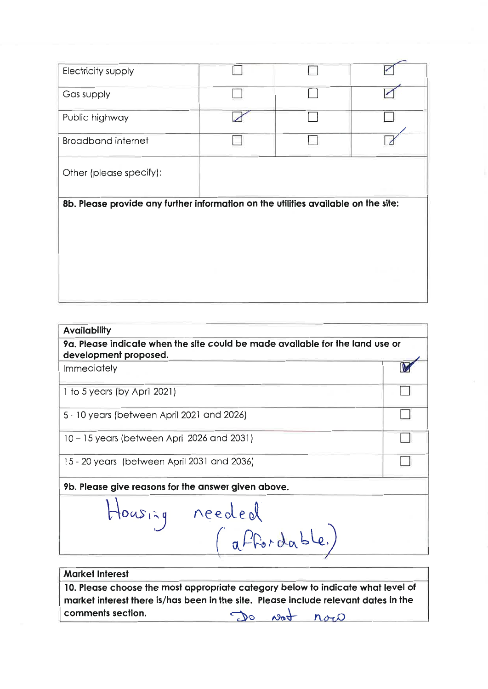| 8b. Please provide any further information on the utilities available on the site: |  |  |  |
|------------------------------------------------------------------------------------|--|--|--|
|                                                                                    |  |  |  |
|                                                                                    |  |  |  |
|                                                                                    |  |  |  |
|                                                                                    |  |  |  |

# **Availability** 9a. Please indicate when the site could be made available for the land use or development proposed. M Immediately П 1 to 5 years (by April 2021) 5 - 10 years (between April 2021 and 2026) 10 - 15 years (between April 2026 and 2031) □ 15 - 20 years (between April 2031 and 2036) Ħ 9b. Please give reasons for the answer given above. Housing needed<br>(affordable)

# **Market Interest**

10. Please choose the most appropriate category below to indicate what level of market interest there is/has been in the site. Please include relevant dates in the comments section. Not now GO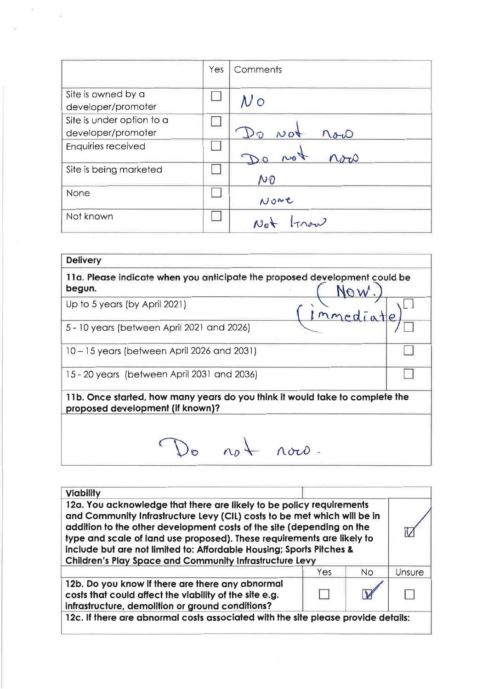|                                                 | Yes | Comments           |
|-------------------------------------------------|-----|--------------------|
| Site is owned by a<br>developer/promoter        |     | N <sub>O</sub>     |
| Site is under option to a<br>developer/promoter |     | $N$ ot<br>$N_{01}$ |
| Enquiries received                              |     | noo<br>not         |
| Site is being marketed                          |     | N <sub>0</sub>     |
| None                                            |     | Nome               |
| Not known                                       |     | $\mu_{\rm n}$      |

 $\omega$ 

 $\sim$ 

| <b>Delivery</b>                                                                                                  |  |
|------------------------------------------------------------------------------------------------------------------|--|
| 11a. Please indicate when you anticipate the proposed development could be<br>begun.                             |  |
| Up to 5 years (by April 2021)                                                                                    |  |
| 5 - 10 years (between April 2021 and 2026)                                                                       |  |
| 10 – 15 years (between April 2026 and 2031)                                                                      |  |
| 15 - 20 years (between April 2031 and 2036)                                                                      |  |
| 11b. Once started, how many years do you think it would take to complete the<br>proposed development (if known)? |  |
| $n_{0}$ + $n_{0}n_{0}$                                                                                           |  |

| <b>Viability</b><br>12a. You acknowledge that there are likely to be policy requirements                                                                                                                                                                                                                                                                              |     |           |        |
|-----------------------------------------------------------------------------------------------------------------------------------------------------------------------------------------------------------------------------------------------------------------------------------------------------------------------------------------------------------------------|-----|-----------|--------|
| and Community Infrastructure Levy (CIL) costs to be met which will be in<br>addition to the other development costs of the site (depending on the<br>type and scale of land use proposed). These requirements are likely to<br>include but are not limited to: Affordable Housing; Sports Pitches &<br><b>Children's Play Space and Community Infrastructure Levy</b> |     |           |        |
|                                                                                                                                                                                                                                                                                                                                                                       | Yes | <b>No</b> | Unsure |
| 12b. Do you know if there are there any abnormal<br>costs that could affect the viability of the site e.g.<br>infrastructure, demolition or ground conditions?                                                                                                                                                                                                        |     |           |        |
| 12c. If there are abnormal costs associated with the site please provide details:                                                                                                                                                                                                                                                                                     |     |           |        |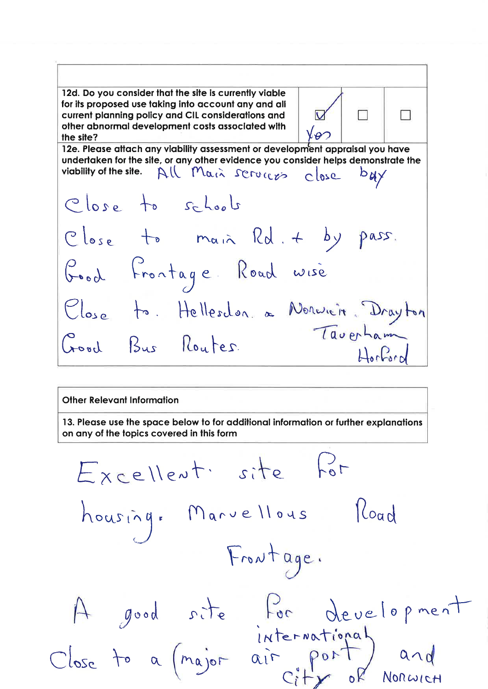12d. Do you consider that the site is currently viable for its proposed use taking into account any and all current planning policy and CIL considerations and other abnormal development costs associated with the site?

 $\Box$  $\overline{\mathsf{V}}$ n  $\sqrt{\varphi}$ 

12e. Please attach any viability assessment or development appraisal you have undertaken for the site, or any other evidence you consider helps demonstrate the All Maix services close viability of the site. buy

Close to schools Close to main Rd. + by pass. Good Frontage Road wise Plose to. Hellesdon a Norwich Drayton Taverham Good Bus Routes. Horford

**Other Relevant Information** 

13. Please use the space below to for additional information or further explanations on any of the topics covered in this form

Excellent site for housing. Marvellous Road Frontage. A good site for development<br>Close to a (major air port) and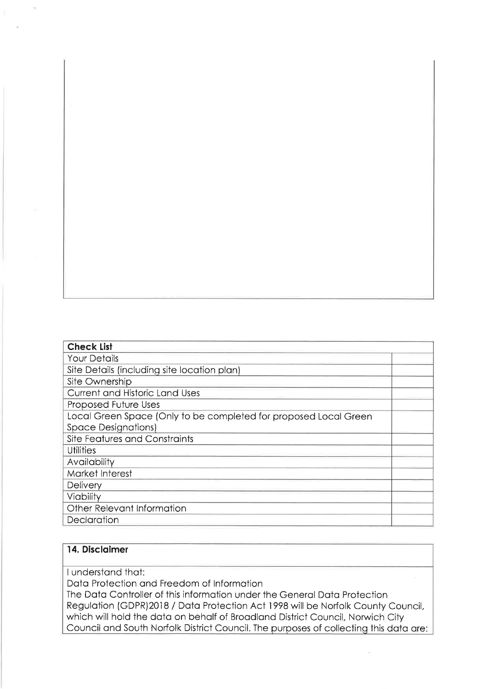| <b>Check List</b>                                                |  |
|------------------------------------------------------------------|--|
| <b>Your Details</b>                                              |  |
| Site Details (including site location plan)                      |  |
| Site Ownership                                                   |  |
| <b>Current and Historic Land Uses</b>                            |  |
| Proposed Future Uses                                             |  |
| Local Green Space (Only to be completed for proposed Local Green |  |
| <b>Space Designations)</b>                                       |  |
| <b>Site Features and Constraints</b>                             |  |
| <b>Utilities</b>                                                 |  |
| Availability                                                     |  |
| Market Interest                                                  |  |
| Delivery                                                         |  |
| <b>Viability</b>                                                 |  |
| Other Relevant Information                                       |  |
| Declaration                                                      |  |

# 14. Disclaimer

I understand that:

Data Protection and Freedom of Information

The Data Controller of this information under the General Data Protection Regulation (GDPR)2018 / Data Protection Act 1998 will be Norfolk County Council, which will hold the data on behalf of Broadland District Council, Norwich City Council and South Norfolk District Council. The purposes of collecting this data are: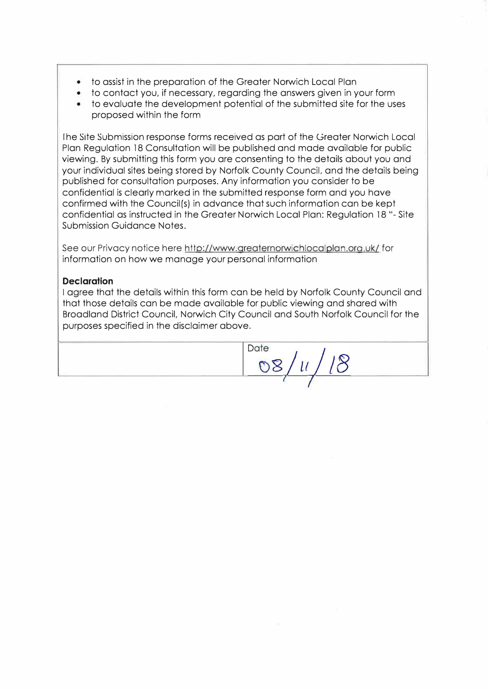- to assist in the preparation of the Greater Norwich Local Plan
- to contact you, if necessary, regarding the answers given in your form
- to evaluate the development potential of the submitted site for the uses proposed within the form

lhe Site Submission response forms received as part of the Greater Norwich Local Plan Regulation 18 Consultation will be published and made available for public viewing. By submitting this form you are consenting to the details about you and your individual sites being stored by Norfolk County Council, and the details being published for consultation purposes. Any information you consider to be confidential is clearly marked in the submitted response form and you have confirmed with the Council(s) in advance that such information can be kept confidential as instructed in the Greater Norwich Local Plan: Regulation 18 "- Site Submission Guidance Notes.

See our Privacy notice here http://www.greaternorwichlocalplan.org.uk/ for information on how we manage your personal information

# **Declaration**

I agree that the details within this form can be held by Norfolk County Council and that those details can be made available for public viewing and shared with Broadland District Council, Norwich City Council and South Norfolk Council for the purposes specified in the disclaimer above.

Date 08/11/18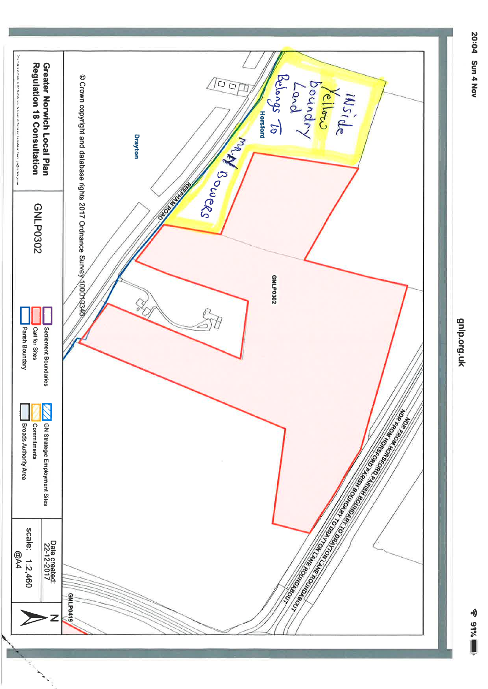

20:04 Sun 4 Nov

dup.org.uk

**SOUTE**